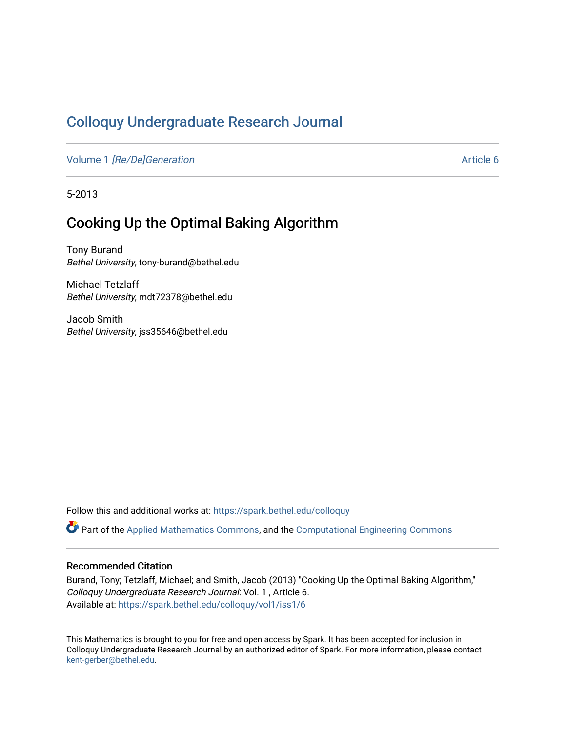# [Colloquy Undergraduate Research Journal](https://spark.bethel.edu/colloquy)

Volume 1 [\[Re/De\]Generation](https://spark.bethel.edu/colloquy/vol1) Article 6

5-2013

# Cooking Up the Optimal Baking Algorithm

Tony Burand Bethel University, tony-burand@bethel.edu

Michael Tetzlaff Bethel University, mdt72378@bethel.edu

Jacob Smith Bethel University, jss35646@bethel.edu

Follow this and additional works at: [https://spark.bethel.edu/colloquy](https://spark.bethel.edu/colloquy?utm_source=spark.bethel.edu%2Fcolloquy%2Fvol1%2Fiss1%2F6&utm_medium=PDF&utm_campaign=PDFCoverPages) 

Part of the [Applied Mathematics Commons](http://network.bepress.com/hgg/discipline/115?utm_source=spark.bethel.edu%2Fcolloquy%2Fvol1%2Fiss1%2F6&utm_medium=PDF&utm_campaign=PDFCoverPages), and the [Computational Engineering Commons](http://network.bepress.com/hgg/discipline/311?utm_source=spark.bethel.edu%2Fcolloquy%2Fvol1%2Fiss1%2F6&utm_medium=PDF&utm_campaign=PDFCoverPages)

#### Recommended Citation

Burand, Tony; Tetzlaff, Michael; and Smith, Jacob (2013) "Cooking Up the Optimal Baking Algorithm," Colloquy Undergraduate Research Journal: Vol. 1 , Article 6. Available at: [https://spark.bethel.edu/colloquy/vol1/iss1/6](https://spark.bethel.edu/colloquy/vol1/iss1/6?utm_source=spark.bethel.edu%2Fcolloquy%2Fvol1%2Fiss1%2F6&utm_medium=PDF&utm_campaign=PDFCoverPages) 

This Mathematics is brought to you for free and open access by Spark. It has been accepted for inclusion in Colloquy Undergraduate Research Journal by an authorized editor of Spark. For more information, please contact [kent-gerber@bethel.edu](mailto:kent-gerber@bethel.edu).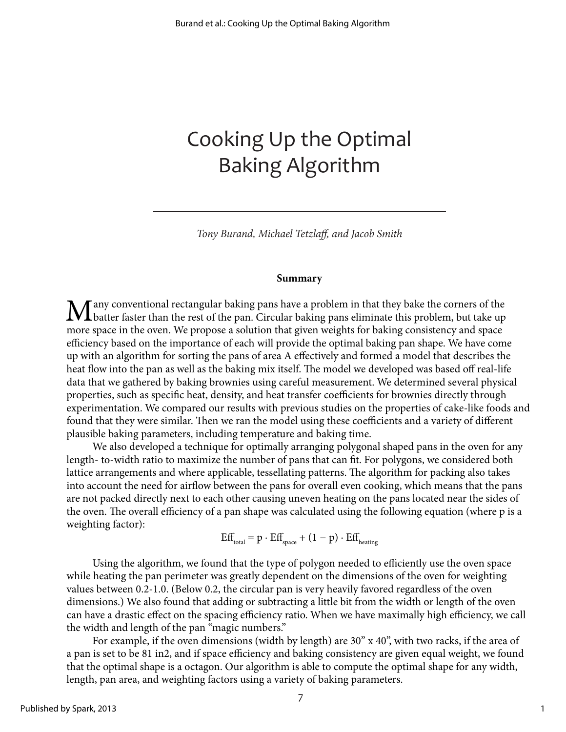# Cooking Up the Optimal Baking Algorithm

*Tony Burand, Michael Tetzlaff, and Jacob Smith*

#### **Summary**

 $M$ any conventional rectangular baking pans have a problem in that they bake the corners of the batter faster than the rest of the pan. Circular baking pans eliminate this problem, but take up more space in the oven. We propose a solution that given weights for baking consistency and space efficiency based on the importance of each will provide the optimal baking pan shape. We have come up with an algorithm for sorting the pans of area A effectively and formed a model that describes the heat flow into the pan as well as the baking mix itself. The model we developed was based off real-life data that we gathered by baking brownies using careful measurement. We determined several physical properties, such as specific heat, density, and heat transfer coefficients for brownies directly through experimentation. We compared our results with previous studies on the properties of cake-like foods and found that they were similar. Then we ran the model using these coefficients and a variety of different plausible baking parameters, including temperature and baking time.

We also developed a technique for optimally arranging polygonal shaped pans in the oven for any length- to-width ratio to maximize the number of pans that can fit. For polygons, we considered both lattice arrangements and where applicable, tessellating patterns. The algorithm for packing also takes into account the need for airflow between the pans for overall even cooking, which means that the pans are not packed directly next to each other causing uneven heating on the pans located near the sides of the oven. The overall efficiency of a pan shape was calculated using the following equation (where p is a weighting factor):

 $Eff<sub>total</sub> = p \cdot Eff<sub>space</sub> + (1 - p) \cdot Eff<sub>heating</sub>$ 

Using the algorithm, we found that the type of polygon needed to efficiently use the oven space while heating the pan perimeter was greatly dependent on the dimensions of the oven for weighting values between 0.2-1.0. (Below 0.2, the circular pan is very heavily favored regardless of the oven dimensions.) We also found that adding or subtracting a little bit from the width or length of the oven can have a drastic effect on the spacing efficiency ratio. When we have maximally high efficiency, we call the width and length of the pan "magic numbers."

For example, if the oven dimensions (width by length) are 30" x 40", with two racks, if the area of a pan is set to be 81 in2, and if space efficiency and baking consistency are given equal weight, we found that the optimal shape is a octagon. Our algorithm is able to compute the optimal shape for any width, length, pan area, and weighting factors using a variety of baking parameters.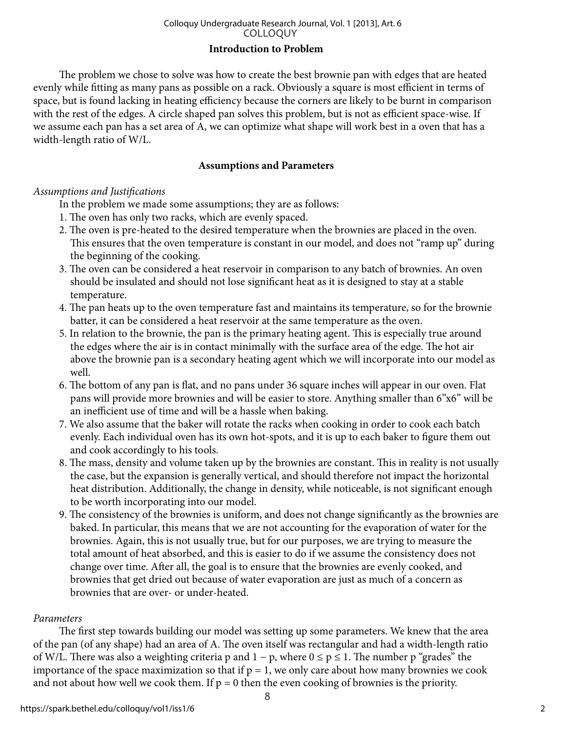# **Introduction to Problem**

The problem we chose to solve was how to create the best brownie pan with edges that are heated evenly while fitting as many pans as possible on a rack. Obviously a square is most efficient in terms of space, but is found lacking in heating efficiency because the corners are likely to be burnt in comparison with the rest of the edges. A circle shaped pan solves this problem, but is not as efficient space-wise. If we assume each pan has a set area of A, we can optimize what shape will work best in a oven that has a width-length ratio of W/L.

# **Assumptions and Parameters**

# *Assumptions and Justifications*

In the problem we made some assumptions; they are as follows:

- 1. The oven has only two racks, which are evenly spaced.
- 2. The oven is pre-heated to the desired temperature when the brownies are placed in the oven. This ensures that the oven temperature is constant in our model, and does not "ramp up" during the beginning of the cooking.
- 3. The oven can be considered a heat reservoir in comparison to any batch of brownies. An oven should be insulated and should not lose significant heat as it is designed to stay at a stable temperature.
- 4. The pan heats up to the oven temperature fast and maintains its temperature, so for the brownie batter, it can be considered a heat reservoir at the same temperature as the oven.
- 5. In relation to the brownie, the pan is the primary heating agent. This is especially true around the edges where the air is in contact minimally with the surface area of the edge. The hot air above the brownie pan is a secondary heating agent which we will incorporate into our model as well.
- 6. The bottom of any pan is flat, and no pans under 36 square inches will appear in our oven. Flat pans will provide more brownies and will be easier to store. Anything smaller than 6"x6" will be an inefficient use of time and will be a hassle when baking.
- 7. We also assume that the baker will rotate the racks when cooking in order to cook each batch evenly. Each individual oven has its own hot-spots, and it is up to each baker to figure them out and cook accordingly to his tools.
- 8. The mass, density and volume taken up by the brownies are constant. This in reality is not usually the case, but the expansion is generally vertical, and should therefore not impact the horizontal heat distribution. Additionally, the change in density, while noticeable, is not significant enough to be worth incorporating into our model.
- 9. The consistency of the brownies is uniform, and does not change significantly as the brownies are baked. In particular, this means that we are not accounting for the evaporation of water for the brownies. Again, this is not usually true, but for our purposes, we are trying to measure the total amount of heat absorbed, and this is easier to do if we assume the consistency does not change over time. After all, the goal is to ensure that the brownies are evenly cooked, and brownies that get dried out because of water evaporation are just as much of a concern as brownies that are over- or under-heated.

# *Parameters*

The first step towards building our model was setting up some parameters. We knew that the area of the pan (of any shape) had an area of A. The oven itself was rectangular and had a width-length ratio of W/L. There was also a weighting criteria p and 1 − p, where  $0 \le p \le 1$ . The number p "grades" the importance of the space maximization so that if  $p = 1$ , we only care about how many brownies we cook and not about how well we cook them. If  $p = 0$  then the even cooking of brownies is the priority.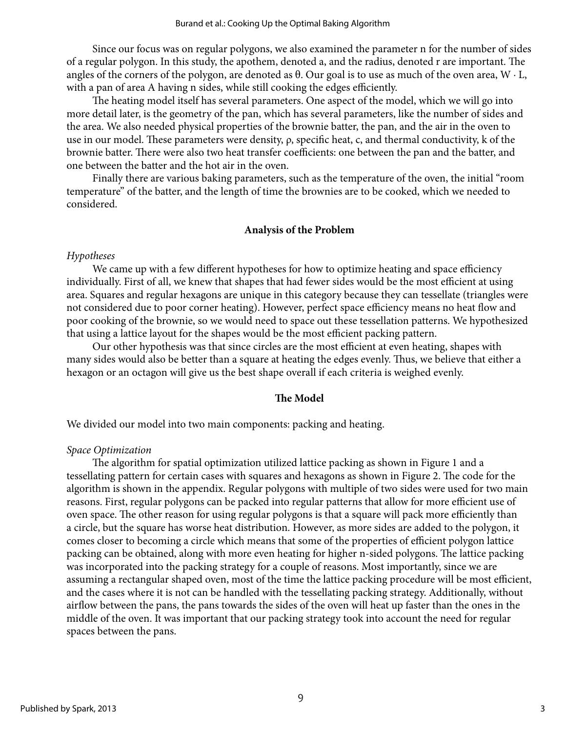Since our focus was on regular polygons, we also examined the parameter n for the number of sides of a regular polygon. In this study, the apothem, denoted a, and the radius, denoted r are important. The angles of the corners of the polygon, are denoted as  $\theta$ . Our goal is to use as much of the oven area,  $W \cdot L$ , with a pan of area A having n sides, while still cooking the edges efficiently.

The heating model itself has several parameters. One aspect of the model, which we will go into more detail later, is the geometry of the pan, which has several parameters, like the number of sides and the area. We also needed physical properties of the brownie batter, the pan, and the air in the oven to use in our model. These parameters were density,  $\rho$ , specific heat, c, and thermal conductivity, k of the brownie batter. There were also two heat transfer coefficients: one between the pan and the batter, and one between the batter and the hot air in the oven.

Finally there are various baking parameters, such as the temperature of the oven, the initial "room temperature" of the batter, and the length of time the brownies are to be cooked, which we needed to considered.

# **Analysis of the Problem**

# *Hypotheses*

We came up with a few different hypotheses for how to optimize heating and space efficiency individually. First of all, we knew that shapes that had fewer sides would be the most efficient at using area. Squares and regular hexagons are unique in this category because they can tessellate (triangles were not considered due to poor corner heating). However, perfect space efficiency means no heat flow and poor cooking of the brownie, so we would need to space out these tessellation patterns. We hypothesized that using a lattice layout for the shapes would be the most efficient packing pattern.

Our other hypothesis was that since circles are the most efficient at even heating, shapes with many sides would also be better than a square at heating the edges evenly. Thus, we believe that either a hexagon or an octagon will give us the best shape overall if each criteria is weighed evenly.

# **The Model**

We divided our model into two main components: packing and heating.

# *Space Optimization*

The algorithm for spatial optimization utilized lattice packing as shown in Figure 1 and a tessellating pattern for certain cases with squares and hexagons as shown in Figure 2. The code for the algorithm is shown in the appendix. Regular polygons with multiple of two sides were used for two main reasons. First, regular polygons can be packed into regular patterns that allow for more efficient use of oven space. The other reason for using regular polygons is that a square will pack more efficiently than a circle, but the square has worse heat distribution. However, as more sides are added to the polygon, it comes closer to becoming a circle which means that some of the properties of efficient polygon lattice packing can be obtained, along with more even heating for higher n-sided polygons. The lattice packing was incorporated into the packing strategy for a couple of reasons. Most importantly, since we are assuming a rectangular shaped oven, most of the time the lattice packing procedure will be most efficient, and the cases where it is not can be handled with the tessellating packing strategy. Additionally, without airflow between the pans, the pans towards the sides of the oven will heat up faster than the ones in the middle of the oven. It was important that our packing strategy took into account the need for regular spaces between the pans.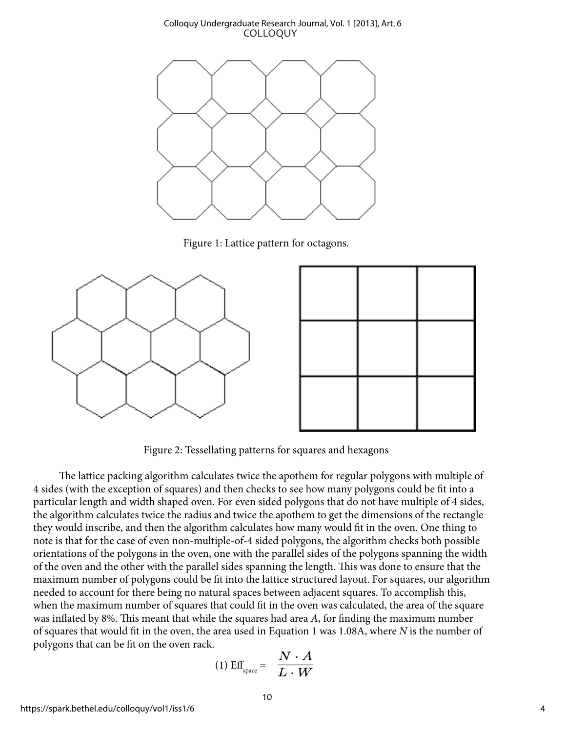

Figure 1: Lattice pattern for octagons.



Figure 2: Tessellating patterns for squares and hexagons

The lattice packing algorithm calculates twice the apothem for regular polygons with multiple of 4 sides (with the exception of squares) and then checks to see how many polygons could be fit into a particular length and width shaped oven. For even sided polygons that do not have multiple of 4 sides, the algorithm calculates twice the radius and twice the apothem to get the dimensions of the rectangle they would inscribe, and then the algorithm calculates how many would fit in the oven. One thing to note is that for the case of even non-multiple-of-4 sided polygons, the algorithm checks both possible orientations of the polygons in the oven, one with the parallel sides of the polygons spanning the width of the oven and the other with the parallel sides spanning the length. This was done to ensure that the maximum number of polygons could be fit into the lattice structured layout. For squares, our algorithm needed to account for there being no natural spaces between adjacent squares. To accomplish this, when the maximum number of squares that could fit in the oven was calculated, the area of the square was inflated by 8%. This meant that while the squares had area *A*, for finding the maximum number of squares that would fit in the oven, the area used in Equation 1 was 1.08A, where *N* is the number of polygons that can be fit on the oven rack.

$$
(1) \text{ Eff}_{\text{space}} = \frac{N \cdot A}{L \cdot W}
$$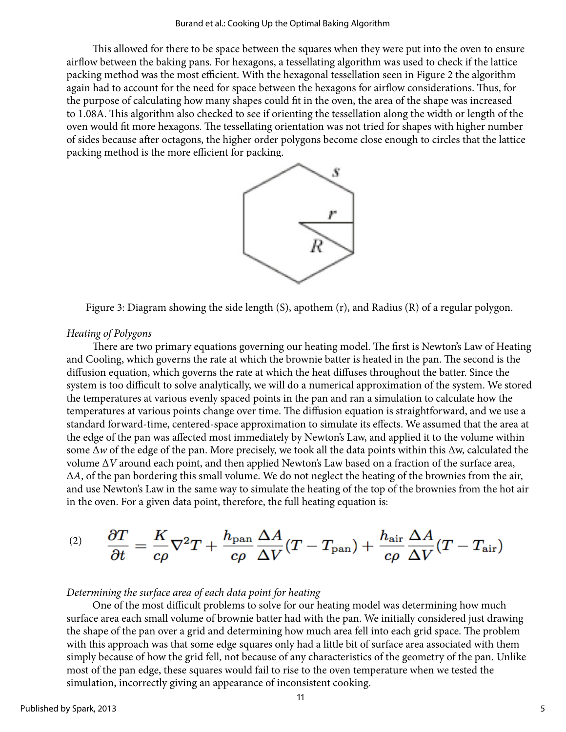This allowed for there to be space between the squares when they were put into the oven to ensure airflow between the baking pans. For hexagons, a tessellating algorithm was used to check if the lattice packing method was the most efficient. With the hexagonal tessellation seen in Figure 2 the algorithm again had to account for the need for space between the hexagons for airflow considerations. Thus, for the purpose of calculating how many shapes could fit in the oven, the area of the shape was increased to 1.08A. This algorithm also checked to see if orienting the tessellation along the width or length of the oven would fit more hexagons. The tessellating orientation was not tried for shapes with higher number of sides because after octagons, the higher order polygons become close enough to circles that the lattice packing method is the more efficient for packing.



Figure 3: Diagram showing the side length (S), apothem (r), and Radius (R) of a regular polygon.

#### *Heating of Polygons*

There are two primary equations governing our heating model. The first is Newton's Law of Heating and Cooling, which governs the rate at which the brownie batter is heated in the pan. The second is the diffusion equation, which governs the rate at which the heat diffuses throughout the batter. Since the system is too difficult to solve analytically, we will do a numerical approximation of the system. We stored the temperatures at various evenly spaced points in the pan and ran a simulation to calculate how the temperatures at various points change over time. The diffusion equation is straightforward, and we use a standard forward-time, centered-space approximation to simulate its effects. We assumed that the area at the edge of the pan was affected most immediately by Newton's Law, and applied it to the volume within some ∆*w* of the edge of the pan. More precisely, we took all the data points within this ∆w, calculated the volume ∆*V* around each point, and then applied Newton's Law based on a fraction of the surface area, ∆*A*, of the pan bordering this small volume. We do not neglect the heating of the brownies from the air, and use Newton's Law in the same way to simulate the heating of the top of the brownies from the hot air in the oven. For a given data point, therefore, the full heating equation is:

$$
^{(2)}\quad \, \frac{\partial T}{\partial t}=\frac{K}{c\rho}\nabla^2 T+\frac{h_{\rm pan}}{c\rho}\frac{\Delta A}{\Delta V}(T-T_{\rm pan})+\frac{h_{\rm air}}{c\rho}\frac{\Delta A}{\Delta V}(T-T_{\rm air})
$$

#### *Determining the surface area of each data point for heating*

One of the most difficult problems to solve for our heating model was determining how much surface area each small volume of brownie batter had with the pan. We initially considered just drawing the shape of the pan over a grid and determining how much area fell into each grid space. The problem with this approach was that some edge squares only had a little bit of surface area associated with them simply because of how the grid fell, not because of any characteristics of the geometry of the pan. Unlike most of the pan edge, these squares would fail to rise to the oven temperature when we tested the simulation, incorrectly giving an appearance of inconsistent cooking.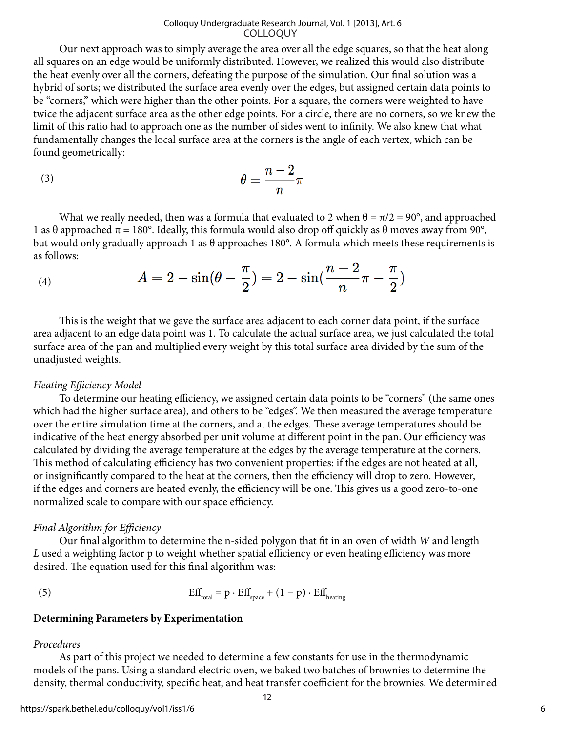Our next approach was to simply average the area over all the edge squares, so that the heat along all squares on an edge would be uniformly distributed. However, we realized this would also distribute the heat evenly over all the corners, defeating the purpose of the simulation. Our final solution was a hybrid of sorts; we distributed the surface area evenly over the edges, but assigned certain data points to be "corners," which were higher than the other points. For a square, the corners were weighted to have twice the adjacent surface area as the other edge points. For a circle, there are no corners, so we knew the limit of this ratio had to approach one as the number of sides went to infinity. We also knew that what fundamentally changes the local surface area at the corners is the angle of each vertex, which can be found geometrically:

$$
\theta = \frac{n-2}{n}\pi
$$

What we really needed, then was a formula that evaluated to 2 when  $\theta = \pi/2 = 90^{\circ}$ , and approached 1 as θ approached  $\pi = 180^\circ$ . Ideally, this formula would also drop off quickly as θ moves away from 90°, but would only gradually approach 1 as θ approaches 180°. A formula which meets these requirements is as follows:

(4) 
$$
A = 2 - \sin(\theta - \frac{\pi}{2}) = 2 - \sin(\frac{n-2}{n}\pi - \frac{\pi}{2})
$$

This is the weight that we gave the surface area adjacent to each corner data point, if the surface area adjacent to an edge data point was 1. To calculate the actual surface area, we just calculated the total surface area of the pan and multiplied every weight by this total surface area divided by the sum of the unadjusted weights.

#### *Heating Efficiency Model*

To determine our heating efficiency, we assigned certain data points to be "corners" (the same ones which had the higher surface area), and others to be "edges". We then measured the average temperature over the entire simulation time at the corners, and at the edges. These average temperatures should be indicative of the heat energy absorbed per unit volume at different point in the pan. Our efficiency was calculated by dividing the average temperature at the edges by the average temperature at the corners. This method of calculating efficiency has two convenient properties: if the edges are not heated at all, or insignificantly compared to the heat at the corners, then the efficiency will drop to zero. However, if the edges and corners are heated evenly, the efficiency will be one. This gives us a good zero-to-one normalized scale to compare with our space efficiency.

#### *Final Algorithm for Efficiency*

Our final algorithm to determine the n-sided polygon that fit in an oven of width *W* and length *L* used a weighting factor p to weight whether spatial efficiency or even heating efficiency was more desired. The equation used for this final algorithm was:

(5) 
$$
Eff_{total} = p \cdot Eff_{space} + (1 - p) \cdot Eff_{heating}
$$

#### **Determining Parameters by Experimentation**

#### *Procedures*

As part of this project we needed to determine a few constants for use in the thermodynamic models of the pans. Using a standard electric oven, we baked two batches of brownies to determine the density, thermal conductivity, specific heat, and heat transfer coefficient for the brownies. We determined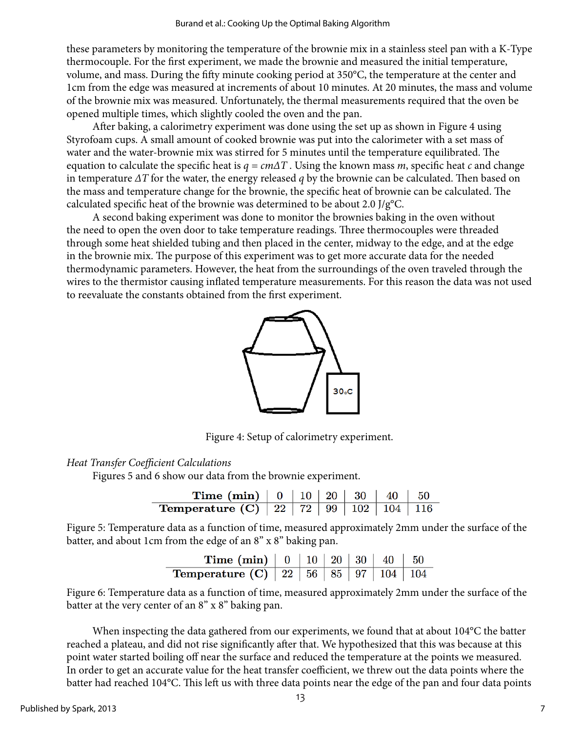these parameters by monitoring the temperature of the brownie mix in a stainless steel pan with a K-Type thermocouple. For the first experiment, we made the brownie and measured the initial temperature, volume, and mass. During the fifty minute cooking period at 350°C, the temperature at the center and 1cm from the edge was measured at increments of about 10 minutes. At 20 minutes, the mass and volume of the brownie mix was measured. Unfortunately, the thermal measurements required that the oven be opened multiple times, which slightly cooled the oven and the pan.

After baking, a calorimetry experiment was done using the set up as shown in Figure 4 using Styrofoam cups. A small amount of cooked brownie was put into the calorimeter with a set mass of water and the water-brownie mix was stirred for 5 minutes until the temperature equilibrated. The equation to calculate the specific heat is *q = cm∆T* . Using the known mass *m*, specific heat *c* and change in temperature *∆T* for the water, the energy released *q* by the brownie can be calculated. Then based on the mass and temperature change for the brownie, the specific heat of brownie can be calculated. The calculated specific heat of the brownie was determined to be about 2.0 J/g°C.

A second baking experiment was done to monitor the brownies baking in the oven without the need to open the oven door to take temperature readings. Three thermocouples were threaded through some heat shielded tubing and then placed in the center, midway to the edge, and at the edge in the brownie mix. The purpose of this experiment was to get more accurate data for the needed thermodynamic parameters. However, the heat from the surroundings of the oven traveled through the wires to the thermistor causing inflated temperature measurements. For this reason the data was not used to reevaluate the constants obtained from the first experiment.



Figure 4: Setup of calorimetry experiment.

# *Heat Transfer Coefficient Calculations*

Figures 5 and 6 show our data from the brownie experiment.

| <b>Time (min)</b>   $0$   $10$   $20$   $30$   $40$   $50$ |  |  |  |
|------------------------------------------------------------|--|--|--|
| <b>Temperature (C)</b> 22 72 99 102 104 116                |  |  |  |

Figure 5: Temperature data as a function of time, measured approximately 2mm under the surface of the batter, and about 1cm from the edge of an 8" x 8" baking pan.

| <b>Time (min)</b>   $0$   $10$   $20$   $30$   $40$   $50$ |  |  |  |
|------------------------------------------------------------|--|--|--|
| <b>Temperature (C)</b> $\boxed{22}$ 56 85 97 104 104       |  |  |  |

Figure 6: Temperature data as a function of time, measured approximately 2mm under the surface of the batter at the very center of an 8" x 8" baking pan.

When inspecting the data gathered from our experiments, we found that at about 104°C the batter reached a plateau, and did not rise significantly after that. We hypothesized that this was because at this point water started boiling off near the surface and reduced the temperature at the points we measured. In order to get an accurate value for the heat transfer coefficient, we threw out the data points where the batter had reached 104°C. This left us with three data points near the edge of the pan and four data points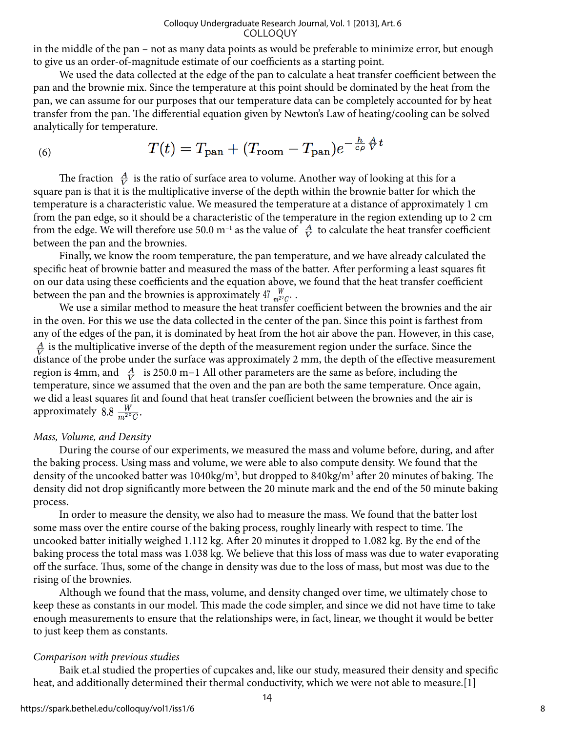in the middle of the pan – not as many data points as would be preferable to minimize error, but enough to give us an order-of-magnitude estimate of our coefficients as a starting point.

We used the data collected at the edge of the pan to calculate a heat transfer coefficient between the pan and the brownie mix. Since the temperature at this point should be dominated by the heat from the pan, we can assume for our purposes that our temperature data can be completely accounted for by heat transfer from the pan. The differential equation given by Newton's Law of heating/cooling can be solved analytically for temperature.

(6) 
$$
T(t) = T_{\text{pan}} + (T_{\text{room}} - T_{\text{pan}})e^{-\frac{h}{c\rho}\frac{A}{V}t}
$$

The fraction  $\frac{A}{V}$  is the ratio of surface area to volume. Another way of looking at this for a square pan is that it is the multiplicative inverse of the depth within the brownie batter for which the temperature is a characteristic value. We measured the temperature at a distance of approximately 1 cm from the pan edge, so it should be a characteristic of the temperature in the region extending up to 2 cm from the edge. We will therefore use 50.0 m<sup>-1</sup> as the value of  $\frac{A}{V}$  to calculate the heat transfer coefficient between the pan and the brownies.

Finally, we know the room temperature, the pan temperature, and we have already calculated the specific heat of brownie batter and measured the mass of the batter. After performing a least squares fit on our data using these coefficients and the equation above, we found that the heat transfer coefficient between the pan and the brownies is approximately 47  $\frac{W}{m^{20}C}$ .

We use a similar method to measure the heat transfer coefficient between the brownies and the air in the oven. For this we use the data collected in the center of the pan. Since this point is farthest from any of the edges of the pan, it is dominated by heat from the hot air above the pan. However, in this case,  $\frac{A}{V}$  is the multiplicative inverse of the depth of the measurement region under the surface. Since the distance of the probe under the surface was approximately 2 mm, the depth of the effective measurement region is 4mm, and  $\frac{A}{V}$  is 250.0 m−1 All other parameters are the same as before, including the temperature, since we assumed that the oven and the pan are both the same temperature. Once again, we did a least squares fit and found that heat transfer coefficient between the brownies and the air is approximately 8.8  $\frac{W}{m^{29}C}$ .

# *Mass, Volume, and Density*

During the course of our experiments, we measured the mass and volume before, during, and after the baking process. Using mass and volume, we were able to also compute density. We found that the density of the uncooked batter was 1040kg/m<sup>3</sup>, but dropped to 840kg/m<sup>3</sup> after 20 minutes of baking. The density did not drop significantly more between the 20 minute mark and the end of the 50 minute baking process.

In order to measure the density, we also had to measure the mass. We found that the batter lost some mass over the entire course of the baking process, roughly linearly with respect to time. The uncooked batter initially weighed 1.112 kg. After 20 minutes it dropped to 1.082 kg. By the end of the baking process the total mass was 1.038 kg. We believe that this loss of mass was due to water evaporating off the surface. Thus, some of the change in density was due to the loss of mass, but most was due to the rising of the brownies.

Although we found that the mass, volume, and density changed over time, we ultimately chose to keep these as constants in our model. This made the code simpler, and since we did not have time to take enough measurements to ensure that the relationships were, in fact, linear, we thought it would be better to just keep them as constants.

# *Comparison with previous studies*

Baik et.al studied the properties of cupcakes and, like our study, measured their density and specific heat, and additionally determined their thermal conductivity, which we were not able to measure.[1]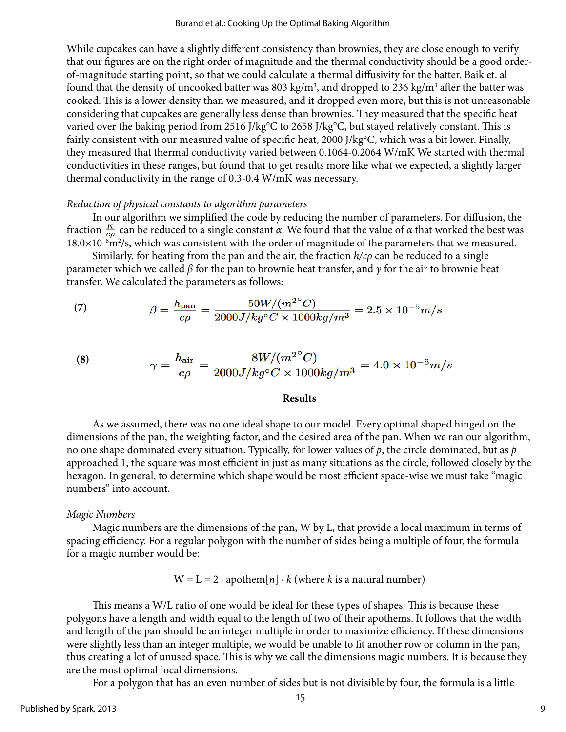While cupcakes can have a slightly different consistency than brownies, they are close enough to verify that our figures are on the right order of magnitude and the thermal conductivity should be a good orderof-magnitude starting point, so that we could calculate a thermal diffusivity for the batter. Baik et. al found that the density of uncooked batter was 803 kg/m<sup>3</sup>, and dropped to 236 kg/m<sup>3</sup> after the batter was cooked. This is a lower density than we measured, and it dropped even more, but this is not unreasonable considering that cupcakes are generally less dense than brownies. They measured that the specific heat varied over the baking period from 2516 J/kg°C to 2658 J/kg°C, but stayed relatively constant. This is fairly consistent with our measured value of specific heat, 2000 J/kg°C, which was a bit lower. Finally, they measured that thermal conductivity varied between 0.1064-0.2064 W/mK We started with thermal conductivities in these ranges, but found that to get results more like what we expected, a slightly larger thermal conductivity in the range of 0.3-0.4 W/mK was necessary.

# *Reduction of physical constants to algorithm parameters*

In our algorithm we simplified the code by reducing the number of parameters. For diffusion, the fraction  $\frac{K}{c\rho}$  can be reduced to a single constant *α*. We found that the value of *α* that worked the best was 18.0×10<sup>-8</sup>m<sup>2</sup>/s, which was consistent with the order of magnitude of the parameters that we measured.

Similarly, for heating from the pan and the air, the fraction *h/cρ* can be reduced to a single parameter which we called *β* for the pan to brownie heat transfer, and *γ* for the air to brownie heat transfer. We calculated the parameters as follows:

(7) 
$$
\beta = \frac{h_{\text{pan}}}{c\rho} = \frac{50W/(m^2^{\circ}C)}{2000J/kg^{\circ}C \times 1000kg/m^3} = 2.5 \times 10^{-5}m/s
$$

(8) 
$$
\gamma = \frac{h_{\text{air}}}{c\rho} = \frac{8W/(m^{2^{\circ}}C)}{2000J/kg^{\circ}C \times 1000kg/m^3} = 4.0 \times 10^{-6}m/s
$$

#### **Results**

As we assumed, there was no one ideal shape to our model. Every optimal shaped hinged on the dimensions of the pan, the weighting factor, and the desired area of the pan. When we ran our algorithm, no one shape dominated every situation. Typically, for lower values of *p*, the circle dominated, but as *p* approached 1, the square was most efficient in just as many situations as the circle, followed closely by the hexagon. In general, to determine which shape would be most efficient space-wise we must take "magic numbers" into account.

# *Magic Numbers*

Magic numbers are the dimensions of the pan, W by L, that provide a local maximum in terms of spacing efficiency. For a regular polygon with the number of sides being a multiple of four, the formula for a magic number would be:

$$
W = L = 2 \cdot apothern[n] \cdot k
$$
 (where *k* is a natural number)

This means a W/L ratio of one would be ideal for these types of shapes. This is because these polygons have a length and width equal to the length of two of their apothems. It follows that the width and length of the pan should be an integer multiple in order to maximize efficiency. If these dimensions were slightly less than an integer multiple, we would be unable to fit another row or column in the pan, thus creating a lot of unused space. This is why we call the dimensions magic numbers. It is because they are the most optimal local dimensions.

For a polygon that has an even number of sides but is not divisible by four, the formula is a little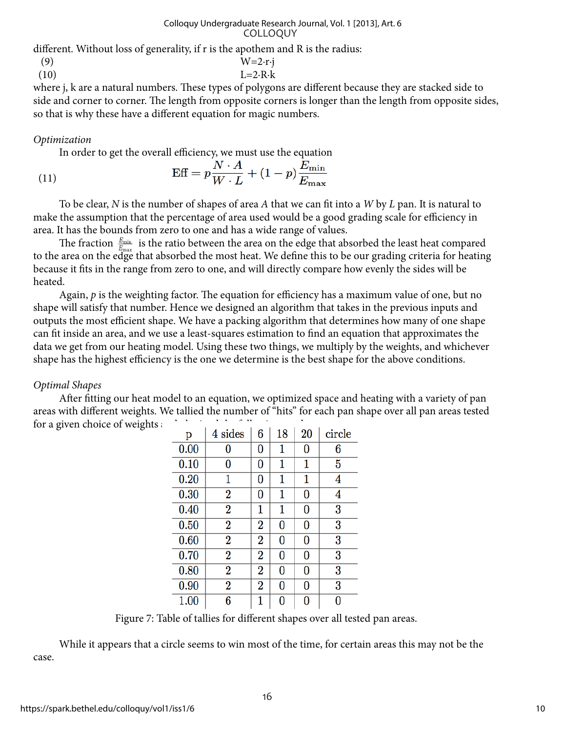different. Without loss of generality, if r is the apothem and R is the radius:

$$
\begin{array}{cc}\n(9) & & W=2 \cdot r \cdot j \\
(10) & & L=2 \cdot R \cdot k\n\end{array}
$$

where j, k are a natural numbers. These types of polygons are different because they are stacked side to side and corner to corner. The length from opposite corners is longer than the length from opposite sides, so that is why these have a different equation for magic numbers.

# *Optimization*

In order to get the overall efficiency, we must use the equation

(11) 
$$
\text{Eff} = p \frac{N \cdot A}{W \cdot L} + (1 - p) \frac{E_{\text{min}}}{E_{\text{max}}}
$$

To be clear, *N* is the number of shapes of area *A* that we can fit into a *W* by *L* pan. It is natural to make the assumption that the percentage of area used would be a good grading scale for efficiency in area. It has the bounds from zero to one and has a wide range of values.

The fraction  $\frac{E_{\min}}{E}$  is the ratio between the area on the edge that absorbed the least heat compared to the area on the edge that absorbed the most heat. We define this to be our grading criteria for heating because it fits in the range from zero to one, and will directly compare how evenly the sides will be heated.

Again, *p* is the weighting factor. The equation for efficiency has a maximum value of one, but no shape will satisfy that number. Hence we designed an algorithm that takes in the previous inputs and outputs the most efficient shape. We have a packing algorithm that determines how many of one shape can fit inside an area, and we use a least-squares estimation to find an equation that approximates the data we get from our heating model. Using these two things, we multiply by the weights, and whichever shape has the highest efficiency is the one we determine is the best shape for the above conditions.

# *Optimal Shapes*

After fitting our heat model to an equation, we optimized space and heating with a variety of pan areas with different weights. We tallied the number of "hits" for each pan shape over all pan areas tested for a given choice of weights and obtained the following results:

| p    | 4 sides        | 6                | 18 | 20       | circle |
|------|----------------|------------------|----|----------|--------|
| 0.00 | 0              | 0                | 1  | 0        | 6      |
| 0.10 | 0              | 0                | 1  | 1        | 5      |
| 0.20 | 1              | 0                | 1  | 1        | 4      |
| 0.30 | $\bf{2}$       | 0                | 1  | 0        | 4      |
| 0.40 | $\overline{2}$ | 1                | 1  | $\bf{0}$ | 3      |
| 0.50 | $\overline{2}$ | $\overline{2}$   | 0  | 0        | 3      |
| 0.60 | $\overline{2}$ | $\boldsymbol{2}$ | 0  | 0        | 3      |
| 0.70 | 2              | 2                | 0  | 0        | 3      |
| 0.80 | $\bf{2}$       | 2                | 0  | $\bf{0}$ | 3      |
| 0.90 | $\bf{2}$       | $\overline{2}$   | 0  | 0        | 3      |
| 1.00 | 6              | 1                | 0  | 0        | 0      |

Figure 7: Table of tallies for different shapes over all tested pan areas.

While it appears that a circle seems to win most of the time, for certain areas this may not be the case.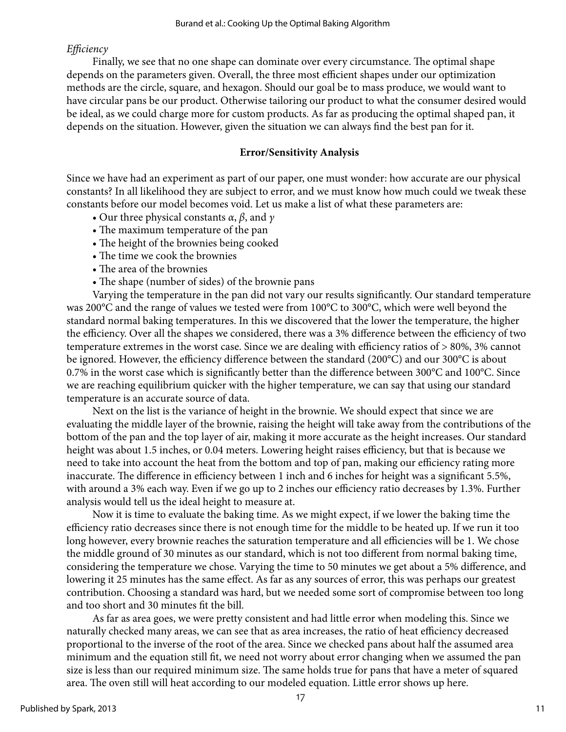# *Efficiency*

Finally, we see that no one shape can dominate over every circumstance. The optimal shape depends on the parameters given. Overall, the three most efficient shapes under our optimization methods are the circle, square, and hexagon. Should our goal be to mass produce, we would want to have circular pans be our product. Otherwise tailoring our product to what the consumer desired would be ideal, as we could charge more for custom products. As far as producing the optimal shaped pan, it depends on the situation. However, given the situation we can always find the best pan for it.

# **Error/Sensitivity Analysis**

Since we have had an experiment as part of our paper, one must wonder: how accurate are our physical constants? In all likelihood they are subject to error, and we must know how much could we tweak these constants before our model becomes void. Let us make a list of what these parameters are:

- Our three physical constants *α*, *β*, and *γ*
- The maximum temperature of the pan
- The height of the brownies being cooked
- The time we cook the brownies
- The area of the brownies
- The shape (number of sides) of the brownie pans

Varying the temperature in the pan did not vary our results significantly. Our standard temperature was 200°C and the range of values we tested were from 100°C to 300°C, which were well beyond the standard normal baking temperatures. In this we discovered that the lower the temperature, the higher the efficiency. Over all the shapes we considered, there was a 3% difference between the efficiency of two temperature extremes in the worst case. Since we are dealing with efficiency ratios of > 80%, 3% cannot be ignored. However, the efficiency difference between the standard (200°C) and our 300°C is about 0.7% in the worst case which is significantly better than the difference between 300°C and 100°C. Since we are reaching equilibrium quicker with the higher temperature, we can say that using our standard temperature is an accurate source of data.

Next on the list is the variance of height in the brownie. We should expect that since we are evaluating the middle layer of the brownie, raising the height will take away from the contributions of the bottom of the pan and the top layer of air, making it more accurate as the height increases. Our standard height was about 1.5 inches, or 0.04 meters. Lowering height raises efficiency, but that is because we need to take into account the heat from the bottom and top of pan, making our efficiency rating more inaccurate. The difference in efficiency between 1 inch and 6 inches for height was a significant 5.5%, with around a 3% each way. Even if we go up to 2 inches our efficiency ratio decreases by 1.3%. Further analysis would tell us the ideal height to measure at.

Now it is time to evaluate the baking time. As we might expect, if we lower the baking time the efficiency ratio decreases since there is not enough time for the middle to be heated up. If we run it too long however, every brownie reaches the saturation temperature and all efficiencies will be 1. We chose the middle ground of 30 minutes as our standard, which is not too different from normal baking time, considering the temperature we chose. Varying the time to 50 minutes we get about a 5% difference, and lowering it 25 minutes has the same effect. As far as any sources of error, this was perhaps our greatest contribution. Choosing a standard was hard, but we needed some sort of compromise between too long and too short and 30 minutes fit the bill.

As far as area goes, we were pretty consistent and had little error when modeling this. Since we naturally checked many areas, we can see that as area increases, the ratio of heat efficiency decreased proportional to the inverse of the root of the area. Since we checked pans about half the assumed area minimum and the equation still fit, we need not worry about error changing when we assumed the pan size is less than our required minimum size. The same holds true for pans that have a meter of squared area. The oven still will heat according to our modeled equation. Little error shows up here.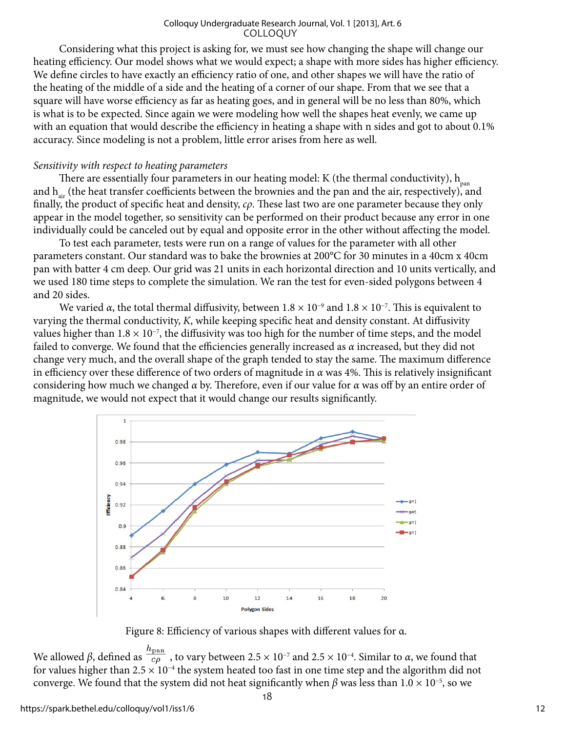Considering what this project is asking for, we must see how changing the shape will change our heating efficiency. Our model shows what we would expect; a shape with more sides has higher efficiency. We define circles to have exactly an efficiency ratio of one, and other shapes we will have the ratio of the heating of the middle of a side and the heating of a corner of our shape. From that we see that a square will have worse efficiency as far as heating goes, and in general will be no less than 80%, which is what is to be expected. Since again we were modeling how well the shapes heat evenly, we came up with an equation that would describe the efficiency in heating a shape with n sides and got to about 0.1% accuracy. Since modeling is not a problem, little error arises from here as well.

#### *Sensitivity with respect to heating parameters*

There are essentially four parameters in our heating model: K (the thermal conductivity),  $h_{\text{pan}}$ and  $h_{\text{air}}$  (the heat transfer coefficients between the brownies and the pan and the air, respectively), and finally, the product of specific heat and density, *cρ*. These last two are one parameter because they only appear in the model together, so sensitivity can be performed on their product because any error in one individually could be canceled out by equal and opposite error in the other without affecting the model.

To test each parameter, tests were run on a range of values for the parameter with all other parameters constant. Our standard was to bake the brownies at 200°C for 30 minutes in a 40cm x 40cm pan with batter 4 cm deep. Our grid was 21 units in each horizontal direction and 10 units vertically, and we used 180 time steps to complete the simulation. We ran the test for even-sided polygons between 4 and 20 sides.

We varied  $\alpha$ , the total thermal diffusivity, between 1.8 × 10<sup>-9</sup> and 1.8 × 10<sup>-7</sup>. This is equivalent to varying the thermal conductivity, *K*, while keeping specific heat and density constant. At diffusivity values higher than  $1.8 \times 10^{-7}$ , the diffusivity was too high for the number of time steps, and the model failed to converge. We found that the efficiencies generally increased as *α* increased, but they did not change very much, and the overall shape of the graph tended to stay the same. The maximum difference in efficiency over these difference of two orders of magnitude in *α* was 4%. This is relatively insignificant considering how much we changed *α* by. Therefore, even if our value for *α* was off by an entire order of magnitude, we would not expect that it would change our results significantly.



Figure 8: Efficiency of various shapes with different values for α.

We allowed *β*, defined as  $\frac{h_{\text{pan}}}{c\rho}$ , to vary between 2.5 × 10<sup>-7</sup> and 2.5 × 10<sup>-4</sup>. Similar to *α*, we found that for values higher than  $2.5 \times 10^{-4}$  the system heated too fast in one time step and the algorithm did not converge. We found that the system did not heat significantly when  $\beta$  was less than  $1.0 \times 10^{-5}$ , so we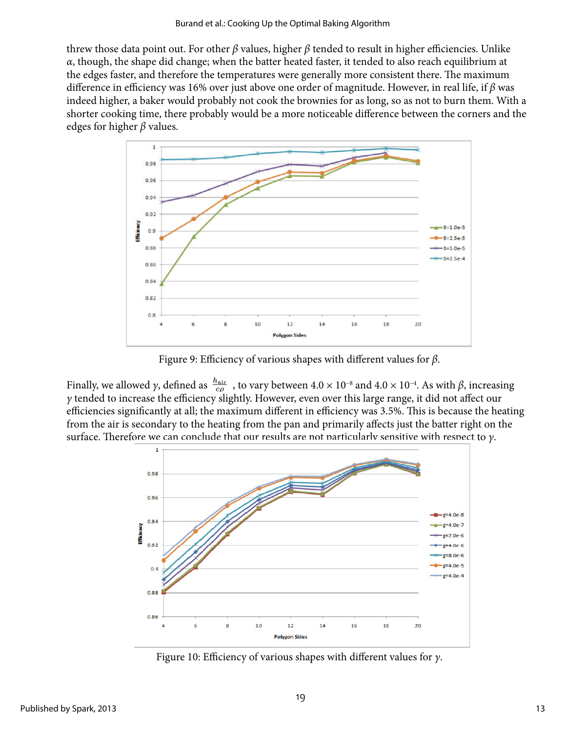threw those data point out. For other *β* values, higher *β* tended to result in higher efficiencies. Unlike *α*, though, the shape did change; when the batter heated faster, it tended to also reach equilibrium at the edges faster, and therefore the temperatures were generally more consistent there. The maximum difference in efficiency was 16% over just above one order of magnitude. However, in real life, if *β* was indeed higher, a baker would probably not cook the brownies for as long, so as not to burn them. With a shorter cooking time, there probably would be a more noticeable difference between the corners and the edges for higher *β* values.



Figure 9: Efficiency of various shapes with different values for *β*.

Finally, we allowed *γ*, defined as  $\frac{h_{\text{air}}}{c\rho}$ , to vary between  $4.0 \times 10^{-8}$  and  $4.0 \times 10^{-4}$ . As with  $\beta$ , increasing *γ* tended to increase the efficiency slightly. However, even over this large range, it did not affect our efficiencies significantly at all; the maximum different in efficiency was 3.5%. This is because the heating from the air is secondary to the heating from the pan and primarily affects just the batter right on the surface. Therefore we can conclude that our results are not particularly sensitive with respect to *γ*.



Figure 10: Efficiency of various shapes with different values for *γ*.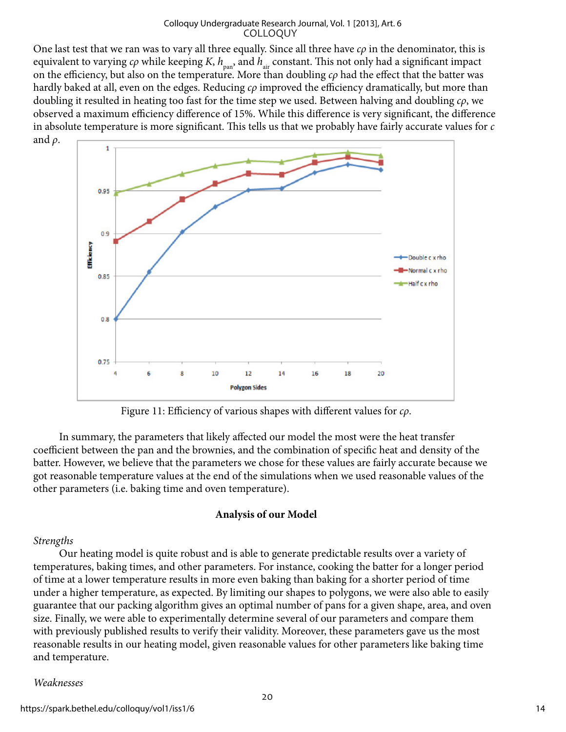One last test that we ran was to vary all three equally. Since all three have *cρ* in the denominator, this is equivalent to varying  $c\rho$  while keeping *K*,  $h_{\rm pan}$ , and  $h_{\rm air}$  constant. This not only had a significant impact on the efficiency, but also on the temperature. More than doubling *cρ* had the effect that the batter was hardly baked at all, even on the edges. Reducing *cρ* improved the efficiency dramatically, but more than doubling it resulted in heating too fast for the time step we used. Between halving and doubling *cρ*, we observed a maximum efficiency difference of 15%. While this difference is very significant, the difference in absolute temperature is more significant. This tells us that we probably have fairly accurate values for *c* and *ρ*.



Figure 11: Efficiency of various shapes with different values for *cρ*.

In summary, the parameters that likely affected our model the most were the heat transfer coefficient between the pan and the brownies, and the combination of specific heat and density of the batter. However, we believe that the parameters we chose for these values are fairly accurate because we got reasonable temperature values at the end of the simulations when we used reasonable values of the other parameters (i.e. baking time and oven temperature).

#### **Analysis of our Model**

#### *Strengths*

Our heating model is quite robust and is able to generate predictable results over a variety of temperatures, baking times, and other parameters. For instance, cooking the batter for a longer period of time at a lower temperature results in more even baking than baking for a shorter period of time under a higher temperature, as expected. By limiting our shapes to polygons, we were also able to easily guarantee that our packing algorithm gives an optimal number of pans for a given shape, area, and oven size. Finally, we were able to experimentally determine several of our parameters and compare them with previously published results to verify their validity. Moreover, these parameters gave us the most reasonable results in our heating model, given reasonable values for other parameters like baking time and temperature.

#### *Weaknesses*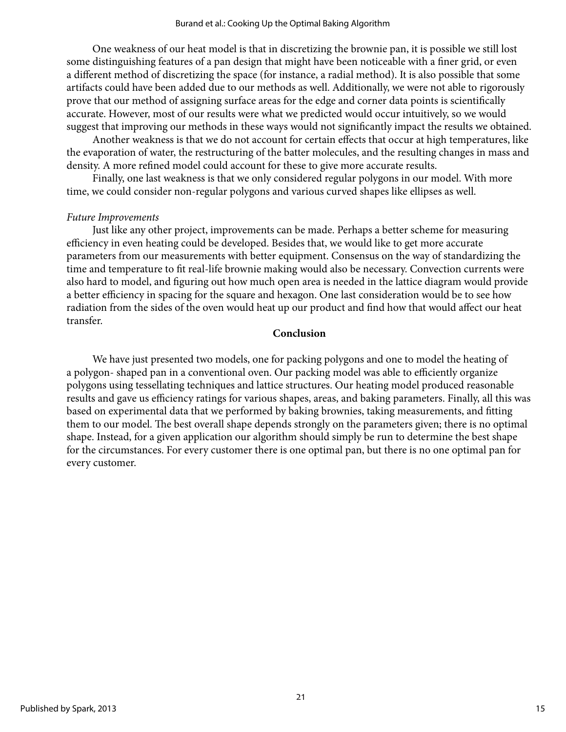One weakness of our heat model is that in discretizing the brownie pan, it is possible we still lost some distinguishing features of a pan design that might have been noticeable with a finer grid, or even a different method of discretizing the space (for instance, a radial method). It is also possible that some artifacts could have been added due to our methods as well. Additionally, we were not able to rigorously prove that our method of assigning surface areas for the edge and corner data points is scientifically accurate. However, most of our results were what we predicted would occur intuitively, so we would suggest that improving our methods in these ways would not significantly impact the results we obtained.

Another weakness is that we do not account for certain effects that occur at high temperatures, like the evaporation of water, the restructuring of the batter molecules, and the resulting changes in mass and density. A more refined model could account for these to give more accurate results.

Finally, one last weakness is that we only considered regular polygons in our model. With more time, we could consider non-regular polygons and various curved shapes like ellipses as well.

# *Future Improvements*

Just like any other project, improvements can be made. Perhaps a better scheme for measuring efficiency in even heating could be developed. Besides that, we would like to get more accurate parameters from our measurements with better equipment. Consensus on the way of standardizing the time and temperature to fit real-life brownie making would also be necessary. Convection currents were also hard to model, and figuring out how much open area is needed in the lattice diagram would provide a better efficiency in spacing for the square and hexagon. One last consideration would be to see how radiation from the sides of the oven would heat up our product and find how that would affect our heat transfer.

# **Conclusion**

We have just presented two models, one for packing polygons and one to model the heating of a polygon- shaped pan in a conventional oven. Our packing model was able to efficiently organize polygons using tessellating techniques and lattice structures. Our heating model produced reasonable results and gave us efficiency ratings for various shapes, areas, and baking parameters. Finally, all this was based on experimental data that we performed by baking brownies, taking measurements, and fitting them to our model. The best overall shape depends strongly on the parameters given; there is no optimal shape. Instead, for a given application our algorithm should simply be run to determine the best shape for the circumstances. For every customer there is one optimal pan, but there is no one optimal pan for every customer.